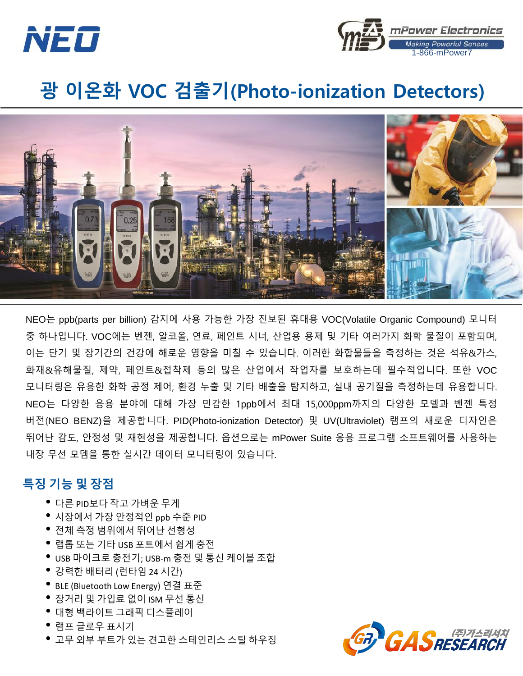



## 광 이온화 VOC 검출기(Photo-ionization Detectors)



NEO는 ppb(parts per billion) 감지에 사용 가능한 가장 진보된 휴대용 VOC(Volatile Organic Compound) 모니터 중 하나입니다. VOC에는 벤젠, 알코올, 연료, 페인트 시너, 산업용 용제 및 기타 여러가지 화학 물질이 포함되며, 이는 단기 및 장기간의 건강에 해로운 영향을 미칠 수 있습니다. 이러한 화합물들을 측정하는 것은 석유&가스, 화재&유해물질, 제약, 페인트&접착제 등의 많은 산업에서 작업자를 보호하는데 필수적입니다. 또한 VOC 모니터링은 유용한 화학 공정 제어, 환경 누출 및 기타 배출을 탐지하고, 실내 공기질을 측정하는데 유용합니다. NEO는 다양한 응용 분야에 대해 가장 민감한 1ppb에서 최대 15,000ppm까지의 다양한 모델과 벤젠 특정 버전(NEO BENZ)을 제공합니다. PID(Photo-ionization Detector) 및 UV(Ultraviolet) 램프의 새로운 디자인은 뛰어난 감도, 안정성 및 재현성을 제공합니다. 옵션으로는 mPower Suite 응용 프로그램 소프트웨어를 사용하는 내장 무선 모뎀을 통한 실시간 데이터 모니터링이 있습니다.

## 특징 기능 및 장점

- 다른 PID보다 작고 가벼운 무게
- 시장에서 가장 안정적인 ppb 수준 PID
- 전체 측정 범위에서 뛰어난 선형성
- 랩톱 또는 기타 USB 포트에서 쉽게 충전
- USB 마이크로 충전기; USB-m 충전 <sup>및</sup> 통신 케이블 조합
- 강력한 배터리 (런타임 <sup>24</sup>시간)
- BLE (Bluetooth Low Energy) 연결 표준
- 장거리 <sup>및</sup> 가입료 없이 ISM 무선 통신
- 대형 백라이트 그래픽 디스플레이
- 램프 글로우 표시기
- 고무 외부 부트가 있는 견고한 스테인리스 스틸 하우징